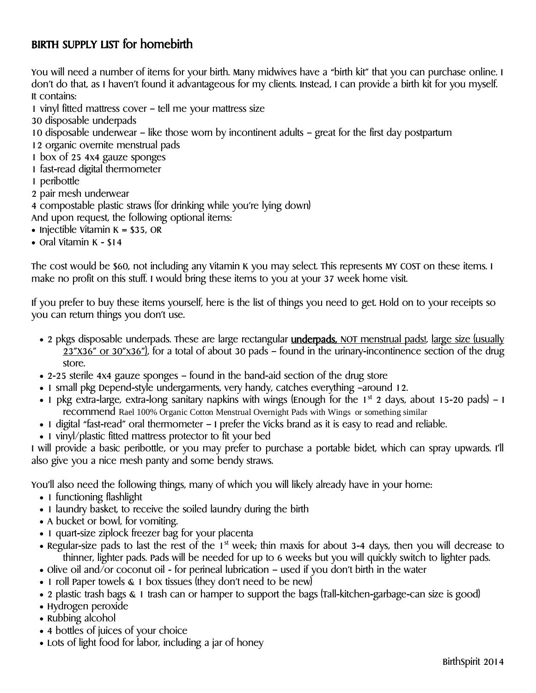## BIRTH SUPPLY LIST for homebirth

You will need a number of items for your birth. Many midwives have a "birth kit" that you can purchase online. I don't do that, as I haven't found it advantageous for my clients. Instead, I can provide a birth kit for you myself. It contains:

1 vinyl fitted mattress cover – tell me your mattress size

- 30 disposable underpads
- 10 disposable underwear like those worn by incontinent adults great for the first day postpartum

12 organic overnite menstrual pads

- 1 box of 25 4x4 gauze sponges
- 1 fast-read digital thermometer
- 1 peribottle
- 2 pair mesh underwear

4 compostable plastic straws (for drinking while you're lying down)

- And upon request, the following optional items:
- Injectible Vitamin  $K = $35$ , OR
- Oral Vitamin K \$14

The cost would be \$60, not including any Vitamin K you may select. This represents MY COST on these items. I make no profit on this stuff. I would bring these items to you at your 37 week home visit.

If you prefer to buy these items yourself, here is the list of things you need to get. Hold on to your receipts so you can return things you don't use.

- 2 pkgs disposable underpads. These are large rectangular **underpads,** NOT menstrual pads!, large size (usually 23"X36" or 30"x36"), for a total of about 30 pads – found in the urinary-incontinence section of the drug store.
- 2-25 sterile 4x4 gauze sponges found in the band-aid section of the drug store
- 1 small pkg Depend-style undergarments, very handy, catches everything –around 12.
- 1 pkg extra-large, extra-long sanitary napkins with wings (Enough for the  $1^{st}$  2 days, about 15-20 pads) I recommend Rael 100% Organic Cotton Menstrual Overnight Pads with Wings or something similar
- 1 digital "fast-read" oral thermometer I prefer the Vicks brand as it is easy to read and reliable.
- 1 vinyl/plastic fitted mattress protector to fit your bed

I will provide a basic peribottle, or you may prefer to purchase a portable bidet, which can spray upwards. I'll also give you a nice mesh panty and some bendy straws.

You'll also need the following things, many of which you will likely already have in your home:

- 1 functioning flashlight
- 1 laundry basket, to receive the soiled laundry during the birth
- A bucket or bowl, for vomiting.
- 1 quart-size ziplock freezer bag for your placenta
- Regular-size pads to last the rest of the 1<sup>st</sup> week; thin maxis for about 3-4 days, then you will decrease to thinner, lighter pads. Pads will be needed for up to 6 weeks but you will quickly switch to lighter pads.
- Olive oil and/or coconut oil for perineal lubrication used if you don't birth in the water
- 1 roll Paper towels  $\&$  1 box tissues (they don't need to be new)
- 2 plastic trash bags & 1 trash can or hamper to support the bags (Tall-kitchen-garbage-can size is good)
- Hydrogen peroxide
- Rubbing alcohol
- 4 bottles of juices of your choice
- Lots of light food for labor, including a jar of honey